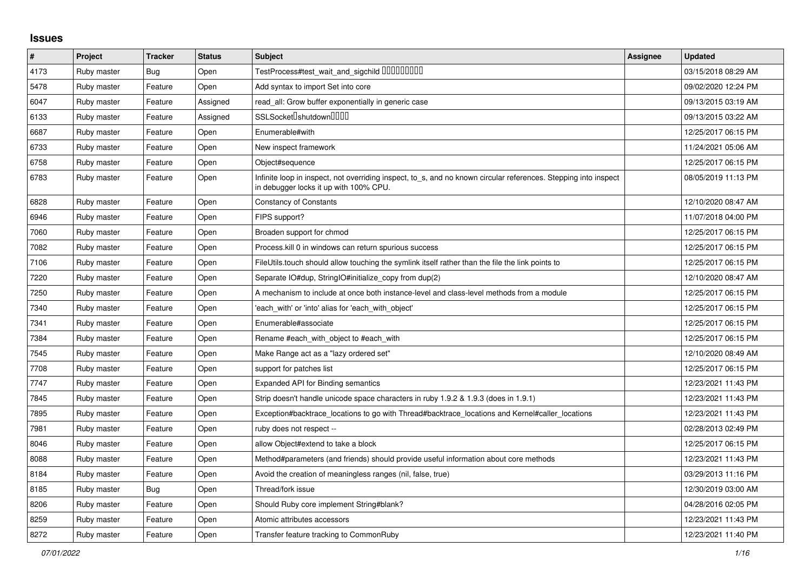## **Issues**

| $\vert$ # | Project     | <b>Tracker</b> | <b>Status</b> | <b>Subject</b>                                                                                                                                            | <b>Assignee</b> | <b>Updated</b>      |
|-----------|-------------|----------------|---------------|-----------------------------------------------------------------------------------------------------------------------------------------------------------|-----------------|---------------------|
| 4173      | Ruby master | Bug            | Open          | TestProcess#test_wait_and_sigchild DDDDDDDD                                                                                                               |                 | 03/15/2018 08:29 AM |
| 5478      | Ruby master | Feature        | Open          | Add syntax to import Set into core                                                                                                                        |                 | 09/02/2020 12:24 PM |
| 6047      | Ruby master | Feature        | Assigned      | read all: Grow buffer exponentially in generic case                                                                                                       |                 | 09/13/2015 03:19 AM |
| 6133      | Ruby master | Feature        | Assigned      | SSLSocket <sup>[</sup> shutdown <sup>[11]</sup>                                                                                                           |                 | 09/13/2015 03:22 AM |
| 6687      | Ruby master | Feature        | Open          | Enumerable#with                                                                                                                                           |                 | 12/25/2017 06:15 PM |
| 6733      | Ruby master | Feature        | Open          | New inspect framework                                                                                                                                     |                 | 11/24/2021 05:06 AM |
| 6758      | Ruby master | Feature        | Open          | Object#sequence                                                                                                                                           |                 | 12/25/2017 06:15 PM |
| 6783      | Ruby master | Feature        | Open          | Infinite loop in inspect, not overriding inspect, to_s, and no known circular references. Stepping into inspect<br>in debugger locks it up with 100% CPU. |                 | 08/05/2019 11:13 PM |
| 6828      | Ruby master | Feature        | Open          | <b>Constancy of Constants</b>                                                                                                                             |                 | 12/10/2020 08:47 AM |
| 6946      | Ruby master | Feature        | Open          | FIPS support?                                                                                                                                             |                 | 11/07/2018 04:00 PM |
| 7060      | Ruby master | Feature        | Open          | Broaden support for chmod                                                                                                                                 |                 | 12/25/2017 06:15 PM |
| 7082      | Ruby master | Feature        | Open          | Process. kill 0 in windows can return spurious success                                                                                                    |                 | 12/25/2017 06:15 PM |
| 7106      | Ruby master | Feature        | Open          | FileUtils.touch should allow touching the symlink itself rather than the file the link points to                                                          |                 | 12/25/2017 06:15 PM |
| 7220      | Ruby master | Feature        | Open          | Separate IO#dup, StringIO#initialize_copy from dup(2)                                                                                                     |                 | 12/10/2020 08:47 AM |
| 7250      | Ruby master | Feature        | Open          | A mechanism to include at once both instance-level and class-level methods from a module                                                                  |                 | 12/25/2017 06:15 PM |
| 7340      | Ruby master | Feature        | Open          | each with' or 'into' alias for 'each with object'                                                                                                         |                 | 12/25/2017 06:15 PM |
| 7341      | Ruby master | Feature        | Open          | Enumerable#associate                                                                                                                                      |                 | 12/25/2017 06:15 PM |
| 7384      | Ruby master | Feature        | Open          | Rename #each with object to #each with                                                                                                                    |                 | 12/25/2017 06:15 PM |
| 7545      | Ruby master | Feature        | Open          | Make Range act as a "lazy ordered set"                                                                                                                    |                 | 12/10/2020 08:49 AM |
| 7708      | Ruby master | Feature        | Open          | support for patches list                                                                                                                                  |                 | 12/25/2017 06:15 PM |
| 7747      | Ruby master | Feature        | Open          | <b>Expanded API for Binding semantics</b>                                                                                                                 |                 | 12/23/2021 11:43 PM |
| 7845      | Ruby master | Feature        | Open          | Strip doesn't handle unicode space characters in ruby 1.9.2 & 1.9.3 (does in 1.9.1)                                                                       |                 | 12/23/2021 11:43 PM |
| 7895      | Ruby master | Feature        | Open          | Exception#backtrace_locations to go with Thread#backtrace_locations and Kernel#caller_locations                                                           |                 | 12/23/2021 11:43 PM |
| 7981      | Ruby master | Feature        | Open          | ruby does not respect --                                                                                                                                  |                 | 02/28/2013 02:49 PM |
| 8046      | Ruby master | Feature        | Open          | allow Object#extend to take a block                                                                                                                       |                 | 12/25/2017 06:15 PM |
| 8088      | Ruby master | Feature        | Open          | Method#parameters (and friends) should provide useful information about core methods                                                                      |                 | 12/23/2021 11:43 PM |
| 8184      | Ruby master | Feature        | Open          | Avoid the creation of meaningless ranges (nil, false, true)                                                                                               |                 | 03/29/2013 11:16 PM |
| 8185      | Ruby master | Bug            | Open          | Thread/fork issue                                                                                                                                         |                 | 12/30/2019 03:00 AM |
| 8206      | Ruby master | Feature        | Open          | Should Ruby core implement String#blank?                                                                                                                  |                 | 04/28/2016 02:05 PM |
| 8259      | Ruby master | Feature        | Open          | Atomic attributes accessors                                                                                                                               |                 | 12/23/2021 11:43 PM |
| 8272      | Ruby master | Feature        | Open          | Transfer feature tracking to CommonRuby                                                                                                                   |                 | 12/23/2021 11:40 PM |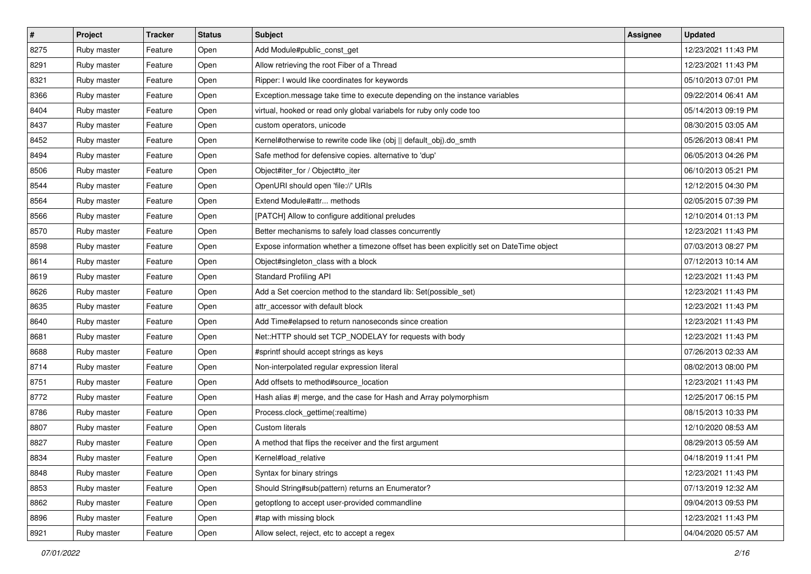| $\sharp$ | Project     | <b>Tracker</b> | <b>Status</b> | <b>Subject</b>                                                                          | <b>Assignee</b> | <b>Updated</b>      |
|----------|-------------|----------------|---------------|-----------------------------------------------------------------------------------------|-----------------|---------------------|
| 8275     | Ruby master | Feature        | Open          | Add Module#public_const_get                                                             |                 | 12/23/2021 11:43 PM |
| 8291     | Ruby master | Feature        | Open          | Allow retrieving the root Fiber of a Thread                                             |                 | 12/23/2021 11:43 PM |
| 8321     | Ruby master | Feature        | Open          | Ripper: I would like coordinates for keywords                                           |                 | 05/10/2013 07:01 PM |
| 8366     | Ruby master | Feature        | Open          | Exception.message take time to execute depending on the instance variables              |                 | 09/22/2014 06:41 AM |
| 8404     | Ruby master | Feature        | Open          | virtual, hooked or read only global variabels for ruby only code too                    |                 | 05/14/2013 09:19 PM |
| 8437     | Ruby master | Feature        | Open          | custom operators, unicode                                                               |                 | 08/30/2015 03:05 AM |
| 8452     | Ruby master | Feature        | Open          | Kernel#otherwise to rewrite code like (obj    default_obj).do_smth                      |                 | 05/26/2013 08:41 PM |
| 8494     | Ruby master | Feature        | Open          | Safe method for defensive copies. alternative to 'dup'                                  |                 | 06/05/2013 04:26 PM |
| 8506     | Ruby master | Feature        | Open          | Object#iter_for / Object#to_iter                                                        |                 | 06/10/2013 05:21 PM |
| 8544     | Ruby master | Feature        | Open          | OpenURI should open 'file://' URIs                                                      |                 | 12/12/2015 04:30 PM |
| 8564     | Ruby master | Feature        | Open          | Extend Module#attr methods                                                              |                 | 02/05/2015 07:39 PM |
| 8566     | Ruby master | Feature        | Open          | [PATCH] Allow to configure additional preludes                                          |                 | 12/10/2014 01:13 PM |
| 8570     | Ruby master | Feature        | Open          | Better mechanisms to safely load classes concurrently                                   |                 | 12/23/2021 11:43 PM |
| 8598     | Ruby master | Feature        | Open          | Expose information whether a timezone offset has been explicitly set on DateTime object |                 | 07/03/2013 08:27 PM |
| 8614     | Ruby master | Feature        | Open          | Object#singleton_class with a block                                                     |                 | 07/12/2013 10:14 AM |
| 8619     | Ruby master | Feature        | Open          | <b>Standard Profiling API</b>                                                           |                 | 12/23/2021 11:43 PM |
| 8626     | Ruby master | Feature        | Open          | Add a Set coercion method to the standard lib: Set(possible_set)                        |                 | 12/23/2021 11:43 PM |
| 8635     | Ruby master | Feature        | Open          | attr accessor with default block                                                        |                 | 12/23/2021 11:43 PM |
| 8640     | Ruby master | Feature        | Open          | Add Time#elapsed to return nanoseconds since creation                                   |                 | 12/23/2021 11:43 PM |
| 8681     | Ruby master | Feature        | Open          | Net::HTTP should set TCP_NODELAY for requests with body                                 |                 | 12/23/2021 11:43 PM |
| 8688     | Ruby master | Feature        | Open          | #sprintf should accept strings as keys                                                  |                 | 07/26/2013 02:33 AM |
| 8714     | Ruby master | Feature        | Open          | Non-interpolated regular expression literal                                             |                 | 08/02/2013 08:00 PM |
| 8751     | Ruby master | Feature        | Open          | Add offsets to method#source_location                                                   |                 | 12/23/2021 11:43 PM |
| 8772     | Ruby master | Feature        | Open          | Hash alias #  merge, and the case for Hash and Array polymorphism                       |                 | 12/25/2017 06:15 PM |
| 8786     | Ruby master | Feature        | Open          | Process.clock_gettime(:realtime)                                                        |                 | 08/15/2013 10:33 PM |
| 8807     | Ruby master | Feature        | Open          | Custom literals                                                                         |                 | 12/10/2020 08:53 AM |
| 8827     | Ruby master | Feature        | Open          | A method that flips the receiver and the first argument                                 |                 | 08/29/2013 05:59 AM |
| 8834     | Ruby master | Feature        | Open          | Kernel#load_relative                                                                    |                 | 04/18/2019 11:41 PM |
| 8848     | Ruby master | Feature        | Open          | Syntax for binary strings                                                               |                 | 12/23/2021 11:43 PM |
| 8853     | Ruby master | Feature        | Open          | Should String#sub(pattern) returns an Enumerator?                                       |                 | 07/13/2019 12:32 AM |
| 8862     | Ruby master | Feature        | Open          | getoptlong to accept user-provided commandline                                          |                 | 09/04/2013 09:53 PM |
| 8896     | Ruby master | Feature        | Open          | #tap with missing block                                                                 |                 | 12/23/2021 11:43 PM |
| 8921     | Ruby master | Feature        | Open          | Allow select, reject, etc to accept a regex                                             |                 | 04/04/2020 05:57 AM |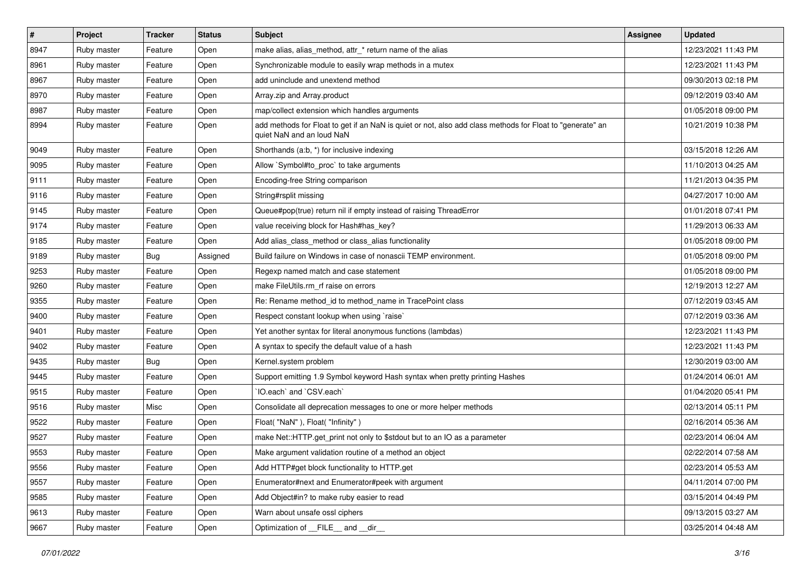| $\vert$ # | Project     | <b>Tracker</b> | <b>Status</b> | <b>Subject</b>                                                                                                                         | <b>Assignee</b> | <b>Updated</b>      |
|-----------|-------------|----------------|---------------|----------------------------------------------------------------------------------------------------------------------------------------|-----------------|---------------------|
| 8947      | Ruby master | Feature        | Open          | make alias, alias method, attr * return name of the alias                                                                              |                 | 12/23/2021 11:43 PM |
| 8961      | Ruby master | Feature        | Open          | Synchronizable module to easily wrap methods in a mutex                                                                                |                 | 12/23/2021 11:43 PM |
| 8967      | Ruby master | Feature        | Open          | add uninclude and unextend method                                                                                                      |                 | 09/30/2013 02:18 PM |
| 8970      | Ruby master | Feature        | Open          | Array.zip and Array.product                                                                                                            |                 | 09/12/2019 03:40 AM |
| 8987      | Ruby master | Feature        | Open          | map/collect extension which handles arguments                                                                                          |                 | 01/05/2018 09:00 PM |
| 8994      | Ruby master | Feature        | Open          | add methods for Float to get if an NaN is quiet or not, also add class methods for Float to "generate" an<br>quiet NaN and an loud NaN |                 | 10/21/2019 10:38 PM |
| 9049      | Ruby master | Feature        | Open          | Shorthands (a:b, *) for inclusive indexing                                                                                             |                 | 03/15/2018 12:26 AM |
| 9095      | Ruby master | Feature        | Open          | Allow `Symbol#to_proc` to take arguments                                                                                               |                 | 11/10/2013 04:25 AM |
| 9111      | Ruby master | Feature        | Open          | Encoding-free String comparison                                                                                                        |                 | 11/21/2013 04:35 PM |
| 9116      | Ruby master | Feature        | Open          | String#rsplit missing                                                                                                                  |                 | 04/27/2017 10:00 AM |
| 9145      | Ruby master | Feature        | Open          | Queue#pop(true) return nil if empty instead of raising ThreadError                                                                     |                 | 01/01/2018 07:41 PM |
| 9174      | Ruby master | Feature        | Open          | value receiving block for Hash#has_key?                                                                                                |                 | 11/29/2013 06:33 AM |
| 9185      | Ruby master | Feature        | Open          | Add alias_class_method or class_alias functionality                                                                                    |                 | 01/05/2018 09:00 PM |
| 9189      | Ruby master | <b>Bug</b>     | Assigned      | Build failure on Windows in case of nonascii TEMP environment.                                                                         |                 | 01/05/2018 09:00 PM |
| 9253      | Ruby master | Feature        | Open          | Regexp named match and case statement                                                                                                  |                 | 01/05/2018 09:00 PM |
| 9260      | Ruby master | Feature        | Open          | make FileUtils.rm_rf raise on errors                                                                                                   |                 | 12/19/2013 12:27 AM |
| 9355      | Ruby master | Feature        | Open          | Re: Rename method_id to method_name in TracePoint class                                                                                |                 | 07/12/2019 03:45 AM |
| 9400      | Ruby master | Feature        | Open          | Respect constant lookup when using `raise`                                                                                             |                 | 07/12/2019 03:36 AM |
| 9401      | Ruby master | Feature        | Open          | Yet another syntax for literal anonymous functions (lambdas)                                                                           |                 | 12/23/2021 11:43 PM |
| 9402      | Ruby master | Feature        | Open          | A syntax to specify the default value of a hash                                                                                        |                 | 12/23/2021 11:43 PM |
| 9435      | Ruby master | Bug            | Open          | Kernel.system problem                                                                                                                  |                 | 12/30/2019 03:00 AM |
| 9445      | Ruby master | Feature        | Open          | Support emitting 1.9 Symbol keyword Hash syntax when pretty printing Hashes                                                            |                 | 01/24/2014 06:01 AM |
| 9515      | Ruby master | Feature        | Open          | IO.each`and `CSV.each`                                                                                                                 |                 | 01/04/2020 05:41 PM |
| 9516      | Ruby master | Misc           | Open          | Consolidate all deprecation messages to one or more helper methods                                                                     |                 | 02/13/2014 05:11 PM |
| 9522      | Ruby master | Feature        | Open          | Float("NaN"), Float("Infinity")                                                                                                        |                 | 02/16/2014 05:36 AM |
| 9527      | Ruby master | Feature        | Open          | make Net::HTTP.get print not only to \$stdout but to an IO as a parameter                                                              |                 | 02/23/2014 06:04 AM |
| 9553      | Ruby master | Feature        | Open          | Make argument validation routine of a method an object                                                                                 |                 | 02/22/2014 07:58 AM |
| 9556      | Ruby master | Feature        | Open          | Add HTTP#get block functionality to HTTP.get                                                                                           |                 | 02/23/2014 05:53 AM |
| 9557      | Ruby master | Feature        | Open          | Enumerator#next and Enumerator#peek with argument                                                                                      |                 | 04/11/2014 07:00 PM |
| 9585      | Ruby master | Feature        | Open          | Add Object#in? to make ruby easier to read                                                                                             |                 | 03/15/2014 04:49 PM |
| 9613      | Ruby master | Feature        | Open          | Warn about unsafe ossl ciphers                                                                                                         |                 | 09/13/2015 03:27 AM |
| 9667      | Ruby master | Feature        | Open          | Optimization of __FILE__ and __dir__                                                                                                   |                 | 03/25/2014 04:48 AM |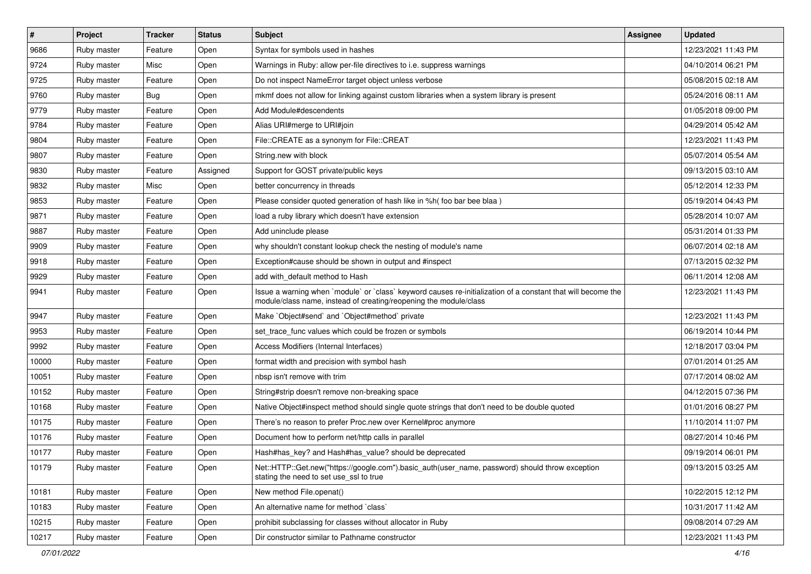| $\vert$ # | Project     | <b>Tracker</b> | <b>Status</b> | Subject                                                                                                                                                                           | Assignee | <b>Updated</b>      |
|-----------|-------------|----------------|---------------|-----------------------------------------------------------------------------------------------------------------------------------------------------------------------------------|----------|---------------------|
| 9686      | Ruby master | Feature        | Open          | Syntax for symbols used in hashes                                                                                                                                                 |          | 12/23/2021 11:43 PM |
| 9724      | Ruby master | Misc           | Open          | Warnings in Ruby: allow per-file directives to i.e. suppress warnings                                                                                                             |          | 04/10/2014 06:21 PM |
| 9725      | Ruby master | Feature        | Open          | Do not inspect NameError target object unless verbose                                                                                                                             |          | 05/08/2015 02:18 AM |
| 9760      | Ruby master | Bug            | Open          | mkmf does not allow for linking against custom libraries when a system library is present                                                                                         |          | 05/24/2016 08:11 AM |
| 9779      | Ruby master | Feature        | Open          | Add Module#descendents                                                                                                                                                            |          | 01/05/2018 09:00 PM |
| 9784      | Ruby master | Feature        | Open          | Alias URI#merge to URI#join                                                                                                                                                       |          | 04/29/2014 05:42 AM |
| 9804      | Ruby master | Feature        | Open          | File::CREATE as a synonym for File::CREAT                                                                                                                                         |          | 12/23/2021 11:43 PM |
| 9807      | Ruby master | Feature        | Open          | String.new with block                                                                                                                                                             |          | 05/07/2014 05:54 AM |
| 9830      | Ruby master | Feature        | Assigned      | Support for GOST private/public keys                                                                                                                                              |          | 09/13/2015 03:10 AM |
| 9832      | Ruby master | Misc           | Open          | better concurrency in threads                                                                                                                                                     |          | 05/12/2014 12:33 PM |
| 9853      | Ruby master | Feature        | Open          | Please consider quoted generation of hash like in %h(foo bar bee blaa)                                                                                                            |          | 05/19/2014 04:43 PM |
| 9871      | Ruby master | Feature        | Open          | load a ruby library which doesn't have extension                                                                                                                                  |          | 05/28/2014 10:07 AM |
| 9887      | Ruby master | Feature        | Open          | Add uninclude please                                                                                                                                                              |          | 05/31/2014 01:33 PM |
| 9909      | Ruby master | Feature        | Open          | why shouldn't constant lookup check the nesting of module's name                                                                                                                  |          | 06/07/2014 02:18 AM |
| 9918      | Ruby master | Feature        | Open          | Exception#cause should be shown in output and #inspect                                                                                                                            |          | 07/13/2015 02:32 PM |
| 9929      | Ruby master | Feature        | Open          | add with_default method to Hash                                                                                                                                                   |          | 06/11/2014 12:08 AM |
| 9941      | Ruby master | Feature        | Open          | Issue a warning when `module` or `class` keyword causes re-initialization of a constant that will become the<br>module/class name, instead of creating/reopening the module/class |          | 12/23/2021 11:43 PM |
| 9947      | Ruby master | Feature        | Open          | Make `Object#send` and `Object#method` private                                                                                                                                    |          | 12/23/2021 11:43 PM |
| 9953      | Ruby master | Feature        | Open          | set trace func values which could be frozen or symbols                                                                                                                            |          | 06/19/2014 10:44 PM |
| 9992      | Ruby master | Feature        | Open          | Access Modifiers (Internal Interfaces)                                                                                                                                            |          | 12/18/2017 03:04 PM |
| 10000     | Ruby master | Feature        | Open          | format width and precision with symbol hash                                                                                                                                       |          | 07/01/2014 01:25 AM |
| 10051     | Ruby master | Feature        | Open          | nbsp isn't remove with trim                                                                                                                                                       |          | 07/17/2014 08:02 AM |
| 10152     | Ruby master | Feature        | Open          | String#strip doesn't remove non-breaking space                                                                                                                                    |          | 04/12/2015 07:36 PM |
| 10168     | Ruby master | Feature        | Open          | Native Object#inspect method should single quote strings that don't need to be double quoted                                                                                      |          | 01/01/2016 08:27 PM |
| 10175     | Ruby master | Feature        | Open          | There's no reason to prefer Proc.new over Kernel#proc anymore                                                                                                                     |          | 11/10/2014 11:07 PM |
| 10176     | Ruby master | Feature        | Open          | Document how to perform net/http calls in parallel                                                                                                                                |          | 08/27/2014 10:46 PM |
| 10177     | Ruby master | Feature        | Open          | Hash#has_key? and Hash#has_value? should be deprecated                                                                                                                            |          | 09/19/2014 06:01 PM |
| 10179     | Ruby master | Feature        | Open          | Net::HTTP::Get.new("https://google.com").basic_auth(user_name, password) should throw exception<br>stating the need to set use ssl to true                                        |          | 09/13/2015 03:25 AM |
| 10181     | Ruby master | Feature        | Open          | New method File.openat()                                                                                                                                                          |          | 10/22/2015 12:12 PM |
| 10183     | Ruby master | Feature        | Open          | An alternative name for method `class`                                                                                                                                            |          | 10/31/2017 11:42 AM |
| 10215     | Ruby master | Feature        | Open          | prohibit subclassing for classes without allocator in Ruby                                                                                                                        |          | 09/08/2014 07:29 AM |
| 10217     | Ruby master | Feature        | Open          | Dir constructor similar to Pathname constructor                                                                                                                                   |          | 12/23/2021 11:43 PM |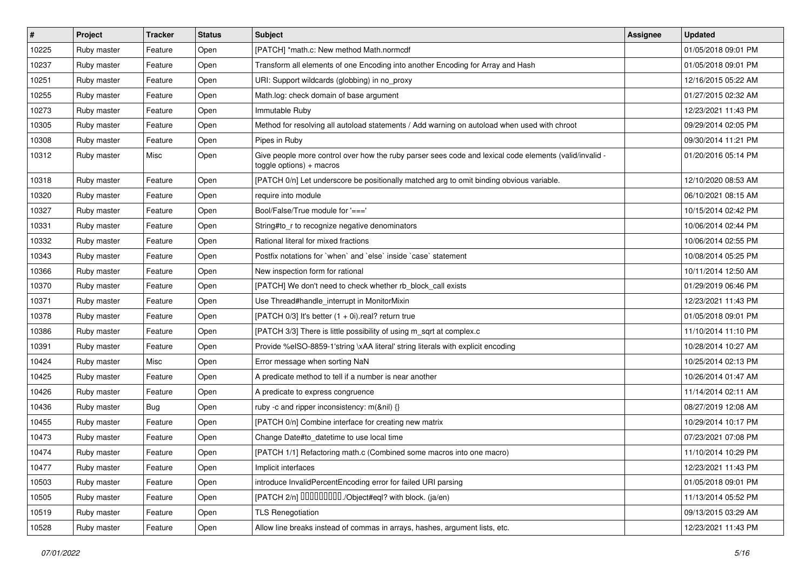| #     | Project     | <b>Tracker</b> | <b>Status</b> | Subject                                                                                                                            | Assignee | <b>Updated</b>      |
|-------|-------------|----------------|---------------|------------------------------------------------------------------------------------------------------------------------------------|----------|---------------------|
| 10225 | Ruby master | Feature        | Open          | [PATCH] *math.c: New method Math.normcdf                                                                                           |          | 01/05/2018 09:01 PM |
| 10237 | Ruby master | Feature        | Open          | Transform all elements of one Encoding into another Encoding for Array and Hash                                                    |          | 01/05/2018 09:01 PM |
| 10251 | Ruby master | Feature        | Open          | URI: Support wildcards (globbing) in no_proxy                                                                                      |          | 12/16/2015 05:22 AM |
| 10255 | Ruby master | Feature        | Open          | Math.log: check domain of base argument                                                                                            |          | 01/27/2015 02:32 AM |
| 10273 | Ruby master | Feature        | Open          | Immutable Ruby                                                                                                                     |          | 12/23/2021 11:43 PM |
| 10305 | Ruby master | Feature        | Open          | Method for resolving all autoload statements / Add warning on autoload when used with chroot                                       |          | 09/29/2014 02:05 PM |
| 10308 | Ruby master | Feature        | Open          | Pipes in Ruby                                                                                                                      |          | 09/30/2014 11:21 PM |
| 10312 | Ruby master | Misc           | Open          | - Give people more control over how the ruby parser sees code and lexical code elements (valid/invalid<br>toggle options) + macros |          | 01/20/2016 05:14 PM |
| 10318 | Ruby master | Feature        | Open          | [PATCH 0/n] Let underscore be positionally matched arg to omit binding obvious variable.                                           |          | 12/10/2020 08:53 AM |
| 10320 | Ruby master | Feature        | Open          | require into module                                                                                                                |          | 06/10/2021 08:15 AM |
| 10327 | Ruby master | Feature        | Open          | Bool/False/True module for '==='                                                                                                   |          | 10/15/2014 02:42 PM |
| 10331 | Ruby master | Feature        | Open          | String#to_r to recognize negative denominators                                                                                     |          | 10/06/2014 02:44 PM |
| 10332 | Ruby master | Feature        | Open          | Rational literal for mixed fractions                                                                                               |          | 10/06/2014 02:55 PM |
| 10343 | Ruby master | Feature        | Open          | Postfix notations for `when` and `else` inside `case` statement                                                                    |          | 10/08/2014 05:25 PM |
| 10366 | Ruby master | Feature        | Open          | New inspection form for rational                                                                                                   |          | 10/11/2014 12:50 AM |
| 10370 | Ruby master | Feature        | Open          | [PATCH] We don't need to check whether rb_block_call exists                                                                        |          | 01/29/2019 06:46 PM |
| 10371 | Ruby master | Feature        | Open          | Use Thread#handle_interrupt in MonitorMixin                                                                                        |          | 12/23/2021 11:43 PM |
| 10378 | Ruby master | Feature        | Open          | [PATCH $0/3$ ] It's better $(1 + 0i)$ .real? return true                                                                           |          | 01/05/2018 09:01 PM |
| 10386 | Ruby master | Feature        | Open          | [PATCH 3/3] There is little possibility of using m_sqrt at complex.c                                                               |          | 11/10/2014 11:10 PM |
| 10391 | Ruby master | Feature        | Open          | Provide %eISO-8859-1'string \xAA literal' string literals with explicit encoding                                                   |          | 10/28/2014 10:27 AM |
| 10424 | Ruby master | Misc           | Open          | Error message when sorting NaN                                                                                                     |          | 10/25/2014 02:13 PM |
| 10425 | Ruby master | Feature        | Open          | A predicate method to tell if a number is near another                                                                             |          | 10/26/2014 01:47 AM |
| 10426 | Ruby master | Feature        | Open          | A predicate to express congruence                                                                                                  |          | 11/14/2014 02:11 AM |
| 10436 | Ruby master | Bug            | Open          | ruby -c and ripper inconsistency: m(&nil) {}                                                                                       |          | 08/27/2019 12:08 AM |
| 10455 | Ruby master | Feature        | Open          | [PATCH 0/n] Combine interface for creating new matrix                                                                              |          | 10/29/2014 10:17 PM |
| 10473 | Ruby master | Feature        | Open          | Change Date#to datetime to use local time                                                                                          |          | 07/23/2021 07:08 PM |
| 10474 | Ruby master | Feature        | Open          | [PATCH 1/1] Refactoring math.c (Combined some macros into one macro)                                                               |          | 11/10/2014 10:29 PM |
| 10477 | Ruby master | Feature        | Open          | Implicit interfaces                                                                                                                |          | 12/23/2021 11:43 PM |
| 10503 | Ruby master | Feature        | Open          | introduce InvalidPercentEncoding error for failed URI parsing                                                                      |          | 01/05/2018 09:01 PM |
| 10505 | Ruby master | Feature        | Open          | [PATCH 2/n] DDDDDDDD./Object#eql? with block. (ja/en)                                                                              |          | 11/13/2014 05:52 PM |
| 10519 | Ruby master | Feature        | Open          | <b>TLS Renegotiation</b>                                                                                                           |          | 09/13/2015 03:29 AM |
| 10528 | Ruby master | Feature        | Open          | Allow line breaks instead of commas in arrays, hashes, argument lists, etc.                                                        |          | 12/23/2021 11:43 PM |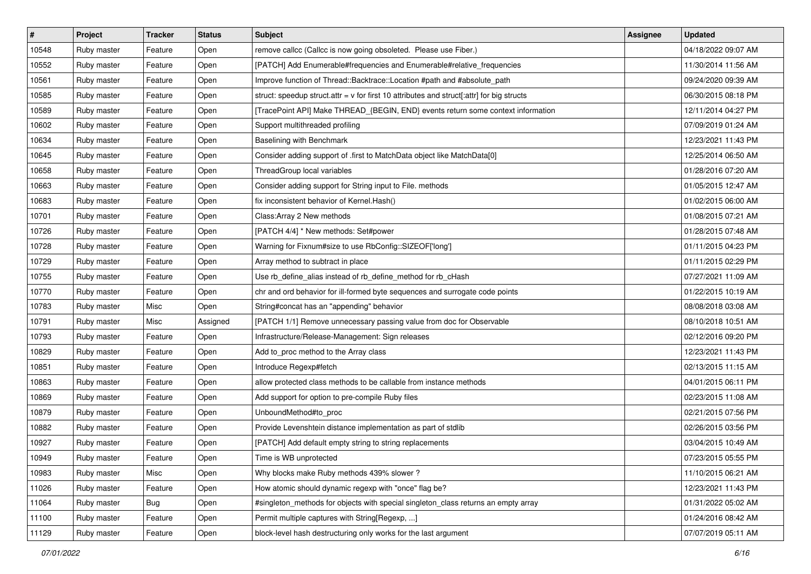| $\vert$ # | Project     | <b>Tracker</b> | <b>Status</b> | Subject                                                                                     | Assignee | <b>Updated</b>      |
|-----------|-------------|----------------|---------------|---------------------------------------------------------------------------------------------|----------|---------------------|
| 10548     | Ruby master | Feature        | Open          | remove callcc (Callcc is now going obsoleted. Please use Fiber.)                            |          | 04/18/2022 09:07 AM |
| 10552     | Ruby master | Feature        | Open          | [PATCH] Add Enumerable#frequencies and Enumerable#relative_frequencies                      |          | 11/30/2014 11:56 AM |
| 10561     | Ruby master | Feature        | Open          | Improve function of Thread::Backtrace::Location #path and #absolute_path                    |          | 09/24/2020 09:39 AM |
| 10585     | Ruby master | Feature        | Open          | struct: speedup struct.attr = $v$ for first 10 attributes and struct[:attr] for big structs |          | 06/30/2015 08:18 PM |
| 10589     | Ruby master | Feature        | Open          | [TracePoint API] Make THREAD_{BEGIN, END} events return some context information            |          | 12/11/2014 04:27 PM |
| 10602     | Ruby master | Feature        | Open          | Support multithreaded profiling                                                             |          | 07/09/2019 01:24 AM |
| 10634     | Ruby master | Feature        | Open          | Baselining with Benchmark                                                                   |          | 12/23/2021 11:43 PM |
| 10645     | Ruby master | Feature        | Open          | Consider adding support of .first to MatchData object like MatchData[0]                     |          | 12/25/2014 06:50 AM |
| 10658     | Ruby master | Feature        | Open          | ThreadGroup local variables                                                                 |          | 01/28/2016 07:20 AM |
| 10663     | Ruby master | Feature        | Open          | Consider adding support for String input to File. methods                                   |          | 01/05/2015 12:47 AM |
| 10683     | Ruby master | Feature        | Open          | fix inconsistent behavior of Kernel. Hash()                                                 |          | 01/02/2015 06:00 AM |
| 10701     | Ruby master | Feature        | Open          | Class: Array 2 New methods                                                                  |          | 01/08/2015 07:21 AM |
| 10726     | Ruby master | Feature        | Open          | [PATCH 4/4] * New methods: Set#power                                                        |          | 01/28/2015 07:48 AM |
| 10728     | Ruby master | Feature        | Open          | Warning for Fixnum#size to use RbConfig::SIZEOF['long']                                     |          | 01/11/2015 04:23 PM |
| 10729     | Ruby master | Feature        | Open          | Array method to subtract in place                                                           |          | 01/11/2015 02:29 PM |
| 10755     | Ruby master | Feature        | Open          | Use rb_define_alias instead of rb_define_method for rb_cHash                                |          | 07/27/2021 11:09 AM |
| 10770     | Ruby master | Feature        | Open          | chr and ord behavior for ill-formed byte sequences and surrogate code points                |          | 01/22/2015 10:19 AM |
| 10783     | Ruby master | Misc           | Open          | String#concat has an "appending" behavior                                                   |          | 08/08/2018 03:08 AM |
| 10791     | Ruby master | Misc           | Assigned      | [PATCH 1/1] Remove unnecessary passing value from doc for Observable                        |          | 08/10/2018 10:51 AM |
| 10793     | Ruby master | Feature        | Open          | Infrastructure/Release-Management: Sign releases                                            |          | 02/12/2016 09:20 PM |
| 10829     | Ruby master | Feature        | Open          | Add to_proc method to the Array class                                                       |          | 12/23/2021 11:43 PM |
| 10851     | Ruby master | Feature        | Open          | Introduce Regexp#fetch                                                                      |          | 02/13/2015 11:15 AM |
| 10863     | Ruby master | Feature        | Open          | allow protected class methods to be callable from instance methods                          |          | 04/01/2015 06:11 PM |
| 10869     | Ruby master | Feature        | Open          | Add support for option to pre-compile Ruby files                                            |          | 02/23/2015 11:08 AM |
| 10879     | Ruby master | Feature        | Open          | UnboundMethod#to_proc                                                                       |          | 02/21/2015 07:56 PM |
| 10882     | Ruby master | Feature        | Open          | Provide Levenshtein distance implementation as part of stdlib                               |          | 02/26/2015 03:56 PM |
| 10927     | Ruby master | Feature        | Open          | [PATCH] Add default empty string to string replacements                                     |          | 03/04/2015 10:49 AM |
| 10949     | Ruby master | Feature        | Open          | Time is WB unprotected                                                                      |          | 07/23/2015 05:55 PM |
| 10983     | Ruby master | Misc           | Open          | Why blocks make Ruby methods 439% slower?                                                   |          | 11/10/2015 06:21 AM |
| 11026     | Ruby master | Feature        | Open          | How atomic should dynamic regexp with "once" flag be?                                       |          | 12/23/2021 11:43 PM |
| 11064     | Ruby master | Bug            | Open          | #singleton_methods for objects with special singleton_class returns an empty array          |          | 01/31/2022 05:02 AM |
| 11100     | Ruby master | Feature        | Open          | Permit multiple captures with String [Regexp, ]                                             |          | 01/24/2016 08:42 AM |
| 11129     | Ruby master | Feature        | Open          | block-level hash destructuring only works for the last argument                             |          | 07/07/2019 05:11 AM |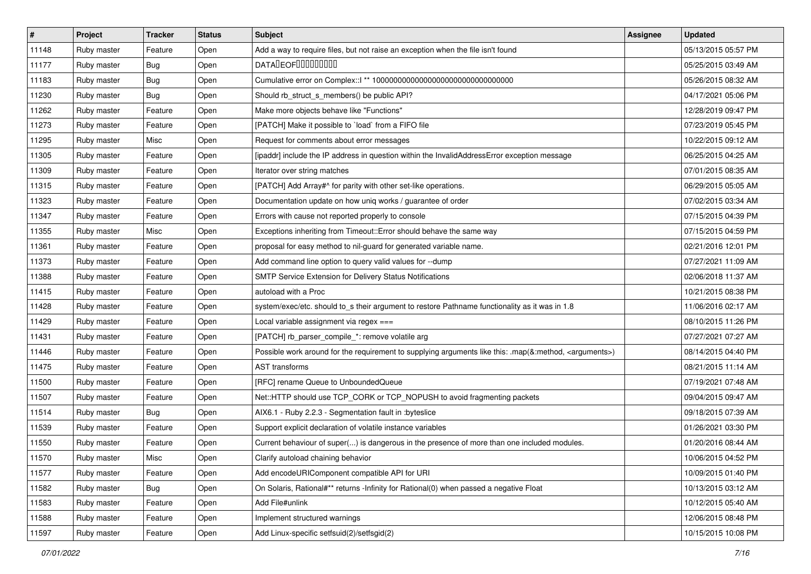| $\vert$ # | Project     | <b>Tracker</b> | <b>Status</b> | <b>Subject</b>                                                                                                     | <b>Assignee</b> | <b>Updated</b>      |
|-----------|-------------|----------------|---------------|--------------------------------------------------------------------------------------------------------------------|-----------------|---------------------|
| 11148     | Ruby master | Feature        | Open          | Add a way to require files, but not raise an exception when the file isn't found                                   |                 | 05/13/2015 05:57 PM |
| 11177     | Ruby master | <b>Bug</b>     | Open          | <b>DATALEOFILILILILILI</b>                                                                                         |                 | 05/25/2015 03:49 AM |
| 11183     | Ruby master | <b>Bug</b>     | Open          |                                                                                                                    |                 | 05/26/2015 08:32 AM |
| 11230     | Ruby master | Bug            | Open          | Should rb_struct_s_members() be public API?                                                                        |                 | 04/17/2021 05:06 PM |
| 11262     | Ruby master | Feature        | Open          | Make more objects behave like "Functions"                                                                          |                 | 12/28/2019 09:47 PM |
| 11273     | Ruby master | Feature        | Open          | [PATCH] Make it possible to 'load' from a FIFO file                                                                |                 | 07/23/2019 05:45 PM |
| 11295     | Ruby master | Misc           | Open          | Request for comments about error messages                                                                          |                 | 10/22/2015 09:12 AM |
| 11305     | Ruby master | Feature        | Open          | [ipaddr] include the IP address in question within the InvalidAddressError exception message                       |                 | 06/25/2015 04:25 AM |
| 11309     | Ruby master | Feature        | Open          | Iterator over string matches                                                                                       |                 | 07/01/2015 08:35 AM |
| 11315     | Ruby master | Feature        | Open          | [PATCH] Add Array#^ for parity with other set-like operations.                                                     |                 | 06/29/2015 05:05 AM |
| 11323     | Ruby master | Feature        | Open          | Documentation update on how uniq works / guarantee of order                                                        |                 | 07/02/2015 03:34 AM |
| 11347     | Ruby master | Feature        | Open          | Errors with cause not reported properly to console                                                                 |                 | 07/15/2015 04:39 PM |
| 11355     | Ruby master | Misc           | Open          | Exceptions inheriting from Timeout:: Error should behave the same way                                              |                 | 07/15/2015 04:59 PM |
| 11361     | Ruby master | Feature        | Open          | proposal for easy method to nil-guard for generated variable name.                                                 |                 | 02/21/2016 12:01 PM |
| 11373     | Ruby master | Feature        | Open          | Add command line option to query valid values for --dump                                                           |                 | 07/27/2021 11:09 AM |
| 11388     | Ruby master | Feature        | Open          | SMTP Service Extension for Delivery Status Notifications                                                           |                 | 02/06/2018 11:37 AM |
| 11415     | Ruby master | Feature        | Open          | autoload with a Proc                                                                                               |                 | 10/21/2015 08:38 PM |
| 11428     | Ruby master | Feature        | Open          | system/exec/etc. should to_s their argument to restore Pathname functionality as it was in 1.8                     |                 | 11/06/2016 02:17 AM |
| 11429     | Ruby master | Feature        | Open          | Local variable assignment via regex ===                                                                            |                 | 08/10/2015 11:26 PM |
| 11431     | Ruby master | Feature        | Open          | [PATCH] rb_parser_compile_*: remove volatile arg                                                                   |                 | 07/27/2021 07:27 AM |
| 11446     | Ruby master | Feature        | Open          | Possible work around for the requirement to supplying arguments like this: .map(&:method, <arguments>)</arguments> |                 | 08/14/2015 04:40 PM |
| 11475     | Ruby master | Feature        | Open          | <b>AST transforms</b>                                                                                              |                 | 08/21/2015 11:14 AM |
| 11500     | Ruby master | Feature        | Open          | [RFC] rename Queue to UnboundedQueue                                                                               |                 | 07/19/2021 07:48 AM |
| 11507     | Ruby master | Feature        | Open          | Net::HTTP should use TCP_CORK or TCP_NOPUSH to avoid fragmenting packets                                           |                 | 09/04/2015 09:47 AM |
| 11514     | Ruby master | Bug            | Open          | AIX6.1 - Ruby 2.2.3 - Segmentation fault in : byteslice                                                            |                 | 09/18/2015 07:39 AM |
| 11539     | Ruby master | Feature        | Open          | Support explicit declaration of volatile instance variables                                                        |                 | 01/26/2021 03:30 PM |
| 11550     | Ruby master | Feature        | Open          | Current behaviour of super() is dangerous in the presence of more than one included modules.                       |                 | 01/20/2016 08:44 AM |
| 11570     | Ruby master | Misc           | Open          | Clarify autoload chaining behavior                                                                                 |                 | 10/06/2015 04:52 PM |
| 11577     | Ruby master | Feature        | Open          | Add encodeURIComponent compatible API for URI                                                                      |                 | 10/09/2015 01:40 PM |
| 11582     | Ruby master | <b>Bug</b>     | Open          | On Solaris, Rational#** returns -Infinity for Rational(0) when passed a negative Float                             |                 | 10/13/2015 03:12 AM |
| 11583     | Ruby master | Feature        | Open          | Add File#unlink                                                                                                    |                 | 10/12/2015 05:40 AM |
| 11588     | Ruby master | Feature        | Open          | Implement structured warnings                                                                                      |                 | 12/06/2015 08:48 PM |
| 11597     | Ruby master | Feature        | Open          | Add Linux-specific setfsuid(2)/setfsgid(2)                                                                         |                 | 10/15/2015 10:08 PM |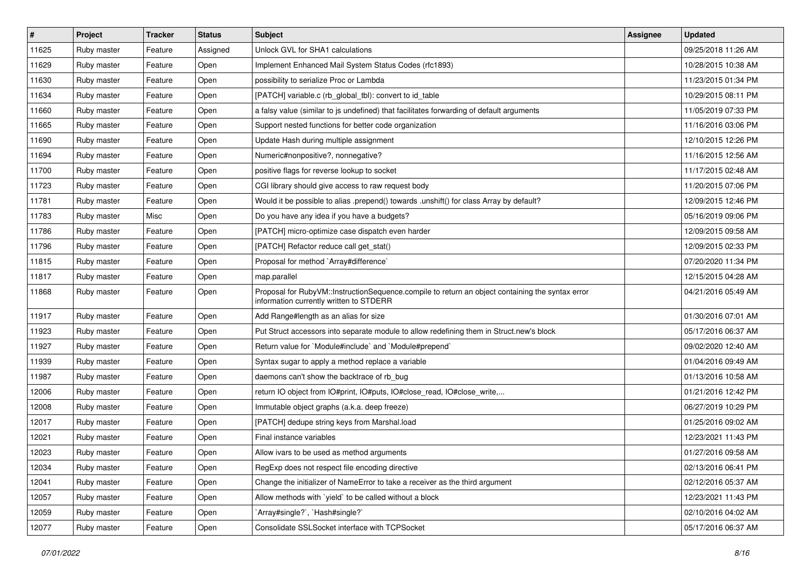| $\vert$ # | Project     | <b>Tracker</b> | <b>Status</b> | <b>Subject</b>                                                                                                                              | Assignee | <b>Updated</b>      |
|-----------|-------------|----------------|---------------|---------------------------------------------------------------------------------------------------------------------------------------------|----------|---------------------|
| 11625     | Ruby master | Feature        | Assigned      | Unlock GVL for SHA1 calculations                                                                                                            |          | 09/25/2018 11:26 AM |
| 11629     | Ruby master | Feature        | Open          | Implement Enhanced Mail System Status Codes (rfc1893)                                                                                       |          | 10/28/2015 10:38 AM |
| 11630     | Ruby master | Feature        | Open          | possibility to serialize Proc or Lambda                                                                                                     |          | 11/23/2015 01:34 PM |
| 11634     | Ruby master | Feature        | Open          | [PATCH] variable.c (rb_global_tbl): convert to id_table                                                                                     |          | 10/29/2015 08:11 PM |
| 11660     | Ruby master | Feature        | Open          | a falsy value (similar to js undefined) that facilitates forwarding of default arguments                                                    |          | 11/05/2019 07:33 PM |
| 11665     | Ruby master | Feature        | Open          | Support nested functions for better code organization                                                                                       |          | 11/16/2016 03:06 PM |
| 11690     | Ruby master | Feature        | Open          | Update Hash during multiple assignment                                                                                                      |          | 12/10/2015 12:26 PM |
| 11694     | Ruby master | Feature        | Open          | Numeric#nonpositive?, nonnegative?                                                                                                          |          | 11/16/2015 12:56 AM |
| 11700     | Ruby master | Feature        | Open          | positive flags for reverse lookup to socket                                                                                                 |          | 11/17/2015 02:48 AM |
| 11723     | Ruby master | Feature        | Open          | CGI library should give access to raw request body                                                                                          |          | 11/20/2015 07:06 PM |
| 11781     | Ruby master | Feature        | Open          | Would it be possible to alias .prepend() towards .unshift() for class Array by default?                                                     |          | 12/09/2015 12:46 PM |
| 11783     | Ruby master | Misc           | Open          | Do you have any idea if you have a budgets?                                                                                                 |          | 05/16/2019 09:06 PM |
| 11786     | Ruby master | Feature        | Open          | [PATCH] micro-optimize case dispatch even harder                                                                                            |          | 12/09/2015 09:58 AM |
| 11796     | Ruby master | Feature        | Open          | [PATCH] Refactor reduce call get stat()                                                                                                     |          | 12/09/2015 02:33 PM |
| 11815     | Ruby master | Feature        | Open          | Proposal for method `Array#difference`                                                                                                      |          | 07/20/2020 11:34 PM |
| 11817     | Ruby master | Feature        | Open          | map.parallel                                                                                                                                |          | 12/15/2015 04:28 AM |
| 11868     | Ruby master | Feature        | Open          | Proposal for RubyVM::InstructionSequence.compile to return an object containing the syntax error<br>information currently written to STDERR |          | 04/21/2016 05:49 AM |
| 11917     | Ruby master | Feature        | Open          | Add Range#length as an alias for size                                                                                                       |          | 01/30/2016 07:01 AM |
| 11923     | Ruby master | Feature        | Open          | Put Struct accessors into separate module to allow redefining them in Struct.new's block                                                    |          | 05/17/2016 06:37 AM |
| 11927     | Ruby master | Feature        | Open          | Return value for `Module#include` and `Module#prepend`                                                                                      |          | 09/02/2020 12:40 AM |
| 11939     | Ruby master | Feature        | Open          | Syntax sugar to apply a method replace a variable                                                                                           |          | 01/04/2016 09:49 AM |
| 11987     | Ruby master | Feature        | Open          | daemons can't show the backtrace of rb_bug                                                                                                  |          | 01/13/2016 10:58 AM |
| 12006     | Ruby master | Feature        | Open          | return IO object from IO#print, IO#puts, IO#close_read, IO#close_write,                                                                     |          | 01/21/2016 12:42 PM |
| 12008     | Ruby master | Feature        | Open          | Immutable object graphs (a.k.a. deep freeze)                                                                                                |          | 06/27/2019 10:29 PM |
| 12017     | Ruby master | Feature        | Open          | [PATCH] dedupe string keys from Marshal.load                                                                                                |          | 01/25/2016 09:02 AM |
| 12021     | Ruby master | Feature        | Open          | Final instance variables                                                                                                                    |          | 12/23/2021 11:43 PM |
| 12023     | Ruby master | Feature        | Open          | Allow ivars to be used as method arguments                                                                                                  |          | 01/27/2016 09:58 AM |
| 12034     | Ruby master | Feature        | Open          | RegExp does not respect file encoding directive                                                                                             |          | 02/13/2016 06:41 PM |
| 12041     | Ruby master | Feature        | Open          | Change the initializer of NameError to take a receiver as the third argument                                                                |          | 02/12/2016 05:37 AM |
| 12057     | Ruby master | Feature        | Open          | Allow methods with 'yield' to be called without a block                                                                                     |          | 12/23/2021 11:43 PM |
| 12059     | Ruby master | Feature        | Open          | `Array#single?`, `Hash#single?`                                                                                                             |          | 02/10/2016 04:02 AM |
| 12077     | Ruby master | Feature        | Open          | Consolidate SSLSocket interface with TCPSocket                                                                                              |          | 05/17/2016 06:37 AM |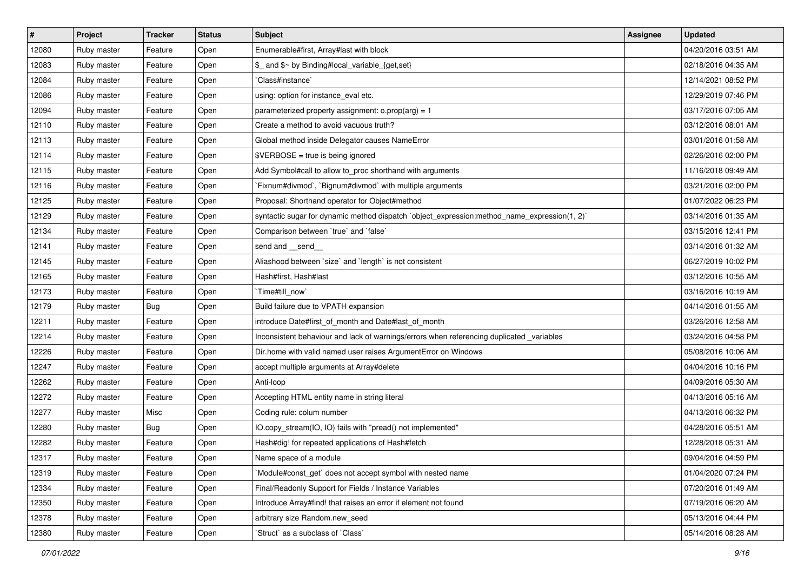| $\vert$ # | Project     | <b>Tracker</b> | <b>Status</b> | Subject                                                                                      | <b>Assignee</b> | <b>Updated</b>      |
|-----------|-------------|----------------|---------------|----------------------------------------------------------------------------------------------|-----------------|---------------------|
| 12080     | Ruby master | Feature        | Open          | Enumerable#first, Array#last with block                                                      |                 | 04/20/2016 03:51 AM |
| 12083     | Ruby master | Feature        | Open          | \$_ and \$~ by Binding#local_variable_{get,set}                                              |                 | 02/18/2016 04:35 AM |
| 12084     | Ruby master | Feature        | Open          | Class#instance`                                                                              |                 | 12/14/2021 08:52 PM |
| 12086     | Ruby master | Feature        | Open          | using: option for instance_eval etc.                                                         |                 | 12/29/2019 07:46 PM |
| 12094     | Ruby master | Feature        | Open          | parameterized property assignment: $o.prop(arg) = 1$                                         |                 | 03/17/2016 07:05 AM |
| 12110     | Ruby master | Feature        | Open          | Create a method to avoid vacuous truth?                                                      |                 | 03/12/2016 08:01 AM |
| 12113     | Ruby master | Feature        | Open          | Global method inside Delegator causes NameError                                              |                 | 03/01/2016 01:58 AM |
| 12114     | Ruby master | Feature        | Open          | \$VERBOSE = true is being ignored                                                            |                 | 02/26/2016 02:00 PM |
| 12115     | Ruby master | Feature        | Open          | Add Symbol#call to allow to_proc shorthand with arguments                                    |                 | 11/16/2018 09:49 AM |
| 12116     | Ruby master | Feature        | Open          | Fixnum#divmod`, `Bignum#divmod` with multiple arguments                                      |                 | 03/21/2016 02:00 PM |
| 12125     | Ruby master | Feature        | Open          | Proposal: Shorthand operator for Object#method                                               |                 | 01/07/2022 06:23 PM |
| 12129     | Ruby master | Feature        | Open          | syntactic sugar for dynamic method dispatch `object_expression:method_name_expression(1, 2)` |                 | 03/14/2016 01:35 AM |
| 12134     | Ruby master | Feature        | Open          | Comparison between 'true' and 'false'                                                        |                 | 03/15/2016 12:41 PM |
| 12141     | Ruby master | Feature        | Open          | send and __send__                                                                            |                 | 03/14/2016 01:32 AM |
| 12145     | Ruby master | Feature        | Open          | Aliashood between `size` and `length` is not consistent                                      |                 | 06/27/2019 10:02 PM |
| 12165     | Ruby master | Feature        | Open          | Hash#first, Hash#last                                                                        |                 | 03/12/2016 10:55 AM |
| 12173     | Ruby master | Feature        | Open          | Time#till now                                                                                |                 | 03/16/2016 10:19 AM |
| 12179     | Ruby master | Bug            | Open          | Build failure due to VPATH expansion                                                         |                 | 04/14/2016 01:55 AM |
| 12211     | Ruby master | Feature        | Open          | introduce Date#first_of_month and Date#last_of_month                                         |                 | 03/26/2016 12:58 AM |
| 12214     | Ruby master | Feature        | Open          | Inconsistent behaviour and lack of warnings/errors when referencing duplicated _variables    |                 | 03/24/2016 04:58 PM |
| 12226     | Ruby master | Feature        | Open          | Dir.home with valid named user raises ArgumentError on Windows                               |                 | 05/08/2016 10:06 AM |
| 12247     | Ruby master | Feature        | Open          | accept multiple arguments at Array#delete                                                    |                 | 04/04/2016 10:16 PM |
| 12262     | Ruby master | Feature        | Open          | Anti-loop                                                                                    |                 | 04/09/2016 05:30 AM |
| 12272     | Ruby master | Feature        | Open          | Accepting HTML entity name in string literal                                                 |                 | 04/13/2016 05:16 AM |
| 12277     | Ruby master | Misc           | Open          | Coding rule: colum number                                                                    |                 | 04/13/2016 06:32 PM |
| 12280     | Ruby master | Bug            | Open          | IO.copy_stream(IO, IO) fails with "pread() not implemented"                                  |                 | 04/28/2016 05:51 AM |
| 12282     | Ruby master | Feature        | Open          | Hash#dig! for repeated applications of Hash#fetch                                            |                 | 12/28/2018 05:31 AM |
| 12317     | Ruby master | Feature        | Open          | Name space of a module                                                                       |                 | 09/04/2016 04:59 PM |
| 12319     | Ruby master | Feature        | Open          | Module#const_get` does not accept symbol with nested name                                    |                 | 01/04/2020 07:24 PM |
| 12334     | Ruby master | Feature        | Open          | Final/Readonly Support for Fields / Instance Variables                                       |                 | 07/20/2016 01:49 AM |
| 12350     | Ruby master | Feature        | Open          | Introduce Array#find! that raises an error if element not found                              |                 | 07/19/2016 06:20 AM |
| 12378     | Ruby master | Feature        | Open          | arbitrary size Random.new seed                                                               |                 | 05/13/2016 04:44 PM |
| 12380     | Ruby master | Feature        | Open          | 'Struct' as a subclass of 'Class'                                                            |                 | 05/14/2016 08:28 AM |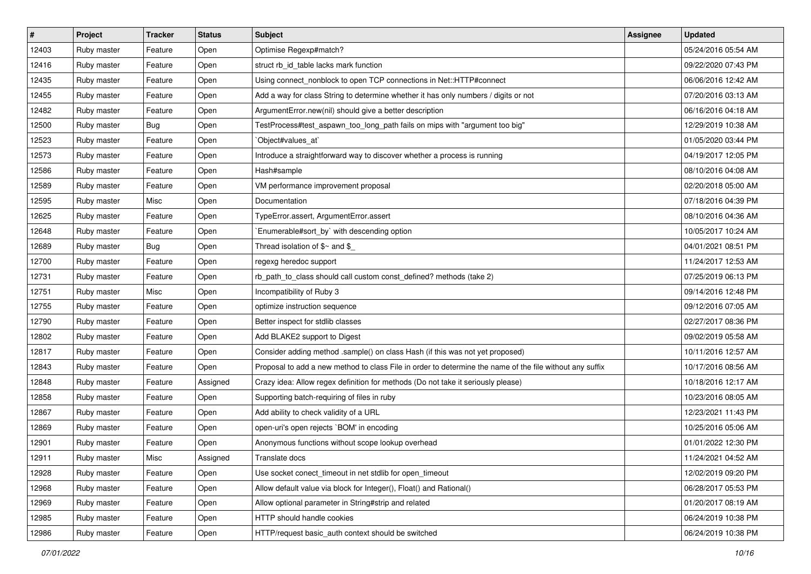| $\vert$ # | Project     | <b>Tracker</b> | <b>Status</b> | Subject                                                                                                  | Assignee | <b>Updated</b>      |
|-----------|-------------|----------------|---------------|----------------------------------------------------------------------------------------------------------|----------|---------------------|
| 12403     | Ruby master | Feature        | Open          | Optimise Regexp#match?                                                                                   |          | 05/24/2016 05:54 AM |
| 12416     | Ruby master | Feature        | Open          | struct rb_id_table lacks mark function                                                                   |          | 09/22/2020 07:43 PM |
| 12435     | Ruby master | Feature        | Open          | Using connect_nonblock to open TCP connections in Net::HTTP#connect                                      |          | 06/06/2016 12:42 AM |
| 12455     | Ruby master | Feature        | Open          | Add a way for class String to determine whether it has only numbers / digits or not                      |          | 07/20/2016 03:13 AM |
| 12482     | Ruby master | Feature        | Open          | ArgumentError.new(nil) should give a better description                                                  |          | 06/16/2016 04:18 AM |
| 12500     | Ruby master | <b>Bug</b>     | Open          | TestProcess#test_aspawn_too_long_path fails on mips with "argument too big"                              |          | 12/29/2019 10:38 AM |
| 12523     | Ruby master | Feature        | Open          | `Object#values_at`                                                                                       |          | 01/05/2020 03:44 PM |
| 12573     | Ruby master | Feature        | Open          | Introduce a straightforward way to discover whether a process is running                                 |          | 04/19/2017 12:05 PM |
| 12586     | Ruby master | Feature        | Open          | Hash#sample                                                                                              |          | 08/10/2016 04:08 AM |
| 12589     | Ruby master | Feature        | Open          | VM performance improvement proposal                                                                      |          | 02/20/2018 05:00 AM |
| 12595     | Ruby master | Misc           | Open          | Documentation                                                                                            |          | 07/18/2016 04:39 PM |
| 12625     | Ruby master | Feature        | Open          | TypeError.assert, ArgumentError.assert                                                                   |          | 08/10/2016 04:36 AM |
| 12648     | Ruby master | Feature        | Open          | `Enumerable#sort_by` with descending option                                                              |          | 10/05/2017 10:24 AM |
| 12689     | Ruby master | Bug            | Open          | Thread isolation of $$~$ and $$$                                                                         |          | 04/01/2021 08:51 PM |
| 12700     | Ruby master | Feature        | Open          | regexg heredoc support                                                                                   |          | 11/24/2017 12:53 AM |
| 12731     | Ruby master | Feature        | Open          | rb_path_to_class should call custom const_defined? methods (take 2)                                      |          | 07/25/2019 06:13 PM |
| 12751     | Ruby master | Misc           | Open          | Incompatibility of Ruby 3                                                                                |          | 09/14/2016 12:48 PM |
| 12755     | Ruby master | Feature        | Open          | optimize instruction sequence                                                                            |          | 09/12/2016 07:05 AM |
| 12790     | Ruby master | Feature        | Open          | Better inspect for stdlib classes                                                                        |          | 02/27/2017 08:36 PM |
| 12802     | Ruby master | Feature        | Open          | Add BLAKE2 support to Digest                                                                             |          | 09/02/2019 05:58 AM |
| 12817     | Ruby master | Feature        | Open          | Consider adding method .sample() on class Hash (if this was not yet proposed)                            |          | 10/11/2016 12:57 AM |
| 12843     | Ruby master | Feature        | Open          | Proposal to add a new method to class File in order to determine the name of the file without any suffix |          | 10/17/2016 08:56 AM |
| 12848     | Ruby master | Feature        | Assigned      | Crazy idea: Allow regex definition for methods (Do not take it seriously please)                         |          | 10/18/2016 12:17 AM |
| 12858     | Ruby master | Feature        | Open          | Supporting batch-requiring of files in ruby                                                              |          | 10/23/2016 08:05 AM |
| 12867     | Ruby master | Feature        | Open          | Add ability to check validity of a URL                                                                   |          | 12/23/2021 11:43 PM |
| 12869     | Ruby master | Feature        | Open          | open-uri's open rejects `BOM' in encoding                                                                |          | 10/25/2016 05:06 AM |
| 12901     | Ruby master | Feature        | Open          | Anonymous functions without scope lookup overhead                                                        |          | 01/01/2022 12:30 PM |
| 12911     | Ruby master | Misc           | Assigned      | Translate docs                                                                                           |          | 11/24/2021 04:52 AM |
| 12928     | Ruby master | Feature        | Open          | Use socket conect timeout in net stdlib for open timeout                                                 |          | 12/02/2019 09:20 PM |
| 12968     | Ruby master | Feature        | Open          | Allow default value via block for Integer(), Float() and Rational()                                      |          | 06/28/2017 05:53 PM |
| 12969     | Ruby master | Feature        | Open          | Allow optional parameter in String#strip and related                                                     |          | 01/20/2017 08:19 AM |
| 12985     | Ruby master | Feature        | Open          | <b>HTTP</b> should handle cookies                                                                        |          | 06/24/2019 10:38 PM |
| 12986     | Ruby master | Feature        | Open          | HTTP/request basic_auth context should be switched                                                       |          | 06/24/2019 10:38 PM |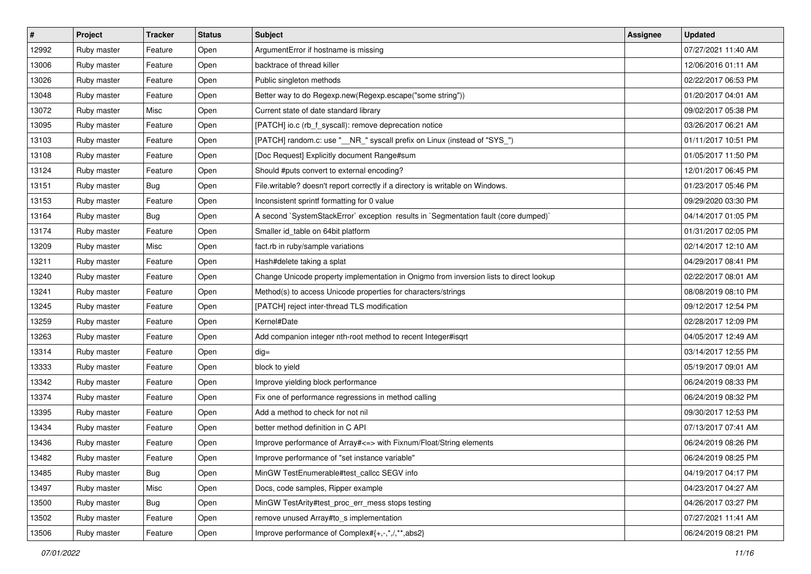| #     | Project     | <b>Tracker</b> | <b>Status</b> | <b>Subject</b>                                                                         | Assignee | <b>Updated</b>      |
|-------|-------------|----------------|---------------|----------------------------------------------------------------------------------------|----------|---------------------|
| 12992 | Ruby master | Feature        | Open          | ArgumentError if hostname is missing                                                   |          | 07/27/2021 11:40 AM |
| 13006 | Ruby master | Feature        | Open          | backtrace of thread killer                                                             |          | 12/06/2016 01:11 AM |
| 13026 | Ruby master | Feature        | Open          | Public singleton methods                                                               |          | 02/22/2017 06:53 PM |
| 13048 | Ruby master | Feature        | Open          | Better way to do Regexp.new(Regexp.escape("some string"))                              |          | 01/20/2017 04:01 AM |
| 13072 | Ruby master | Misc           | Open          | Current state of date standard library                                                 |          | 09/02/2017 05:38 PM |
| 13095 | Ruby master | Feature        | Open          | [PATCH] io.c (rb_f_syscall): remove deprecation notice                                 |          | 03/26/2017 06:21 AM |
| 13103 | Ruby master | Feature        | Open          | [PATCH] random.c: use "__NR_" syscall prefix on Linux (instead of "SYS_")              |          | 01/11/2017 10:51 PM |
| 13108 | Ruby master | Feature        | Open          | [Doc Request] Explicitly document Range#sum                                            |          | 01/05/2017 11:50 PM |
| 13124 | Ruby master | Feature        | Open          | Should #puts convert to external encoding?                                             |          | 12/01/2017 06:45 PM |
| 13151 | Ruby master | Bug            | Open          | File.writable? doesn't report correctly if a directory is writable on Windows.         |          | 01/23/2017 05:46 PM |
| 13153 | Ruby master | Feature        | Open          | Inconsistent sprintf formatting for 0 value                                            |          | 09/29/2020 03:30 PM |
| 13164 | Ruby master | <b>Bug</b>     | Open          | A second `SystemStackError` exception results in `Segmentation fault (core dumped)`    |          | 04/14/2017 01:05 PM |
| 13174 | Ruby master | Feature        | Open          | Smaller id_table on 64bit platform                                                     |          | 01/31/2017 02:05 PM |
| 13209 | Ruby master | Misc           | Open          | fact.rb in ruby/sample variations                                                      |          | 02/14/2017 12:10 AM |
| 13211 | Ruby master | Feature        | Open          | Hash#delete taking a splat                                                             |          | 04/29/2017 08:41 PM |
| 13240 | Ruby master | Feature        | Open          | Change Unicode property implementation in Onigmo from inversion lists to direct lookup |          | 02/22/2017 08:01 AM |
| 13241 | Ruby master | Feature        | Open          | Method(s) to access Unicode properties for characters/strings                          |          | 08/08/2019 08:10 PM |
| 13245 | Ruby master | Feature        | Open          | [PATCH] reject inter-thread TLS modification                                           |          | 09/12/2017 12:54 PM |
| 13259 | Ruby master | Feature        | Open          | Kernel#Date                                                                            |          | 02/28/2017 12:09 PM |
| 13263 | Ruby master | Feature        | Open          | Add companion integer nth-root method to recent Integer#isqrt                          |          | 04/05/2017 12:49 AM |
| 13314 | Ruby master | Feature        | Open          | $dig =$                                                                                |          | 03/14/2017 12:55 PM |
| 13333 | Ruby master | Feature        | Open          | block to yield                                                                         |          | 05/19/2017 09:01 AM |
| 13342 | Ruby master | Feature        | Open          | Improve yielding block performance                                                     |          | 06/24/2019 08:33 PM |
| 13374 | Ruby master | Feature        | Open          | Fix one of performance regressions in method calling                                   |          | 06/24/2019 08:32 PM |
| 13395 | Ruby master | Feature        | Open          | Add a method to check for not nil                                                      |          | 09/30/2017 12:53 PM |
| 13434 | Ruby master | Feature        | Open          | better method definition in C API                                                      |          | 07/13/2017 07:41 AM |
| 13436 | Ruby master | Feature        | Open          | Improve performance of Array#<=> with Fixnum/Float/String elements                     |          | 06/24/2019 08:26 PM |
| 13482 | Ruby master | Feature        | Open          | Improve performance of "set instance variable"                                         |          | 06/24/2019 08:25 PM |
| 13485 | Ruby master | <b>Bug</b>     | Open          | MinGW TestEnumerable#test callcc SEGV info                                             |          | 04/19/2017 04:17 PM |
| 13497 | Ruby master | Misc           | Open          | Docs, code samples, Ripper example                                                     |          | 04/23/2017 04:27 AM |
| 13500 | Ruby master | Bug            | Open          | MinGW TestArity#test_proc_err_mess stops testing                                       |          | 04/26/2017 03:27 PM |
| 13502 | Ruby master | Feature        | Open          | remove unused Array#to_s implementation                                                |          | 07/27/2021 11:41 AM |
| 13506 | Ruby master | Feature        | Open          | Improve performance of Complex#{+,-,*,/,**,abs2}                                       |          | 06/24/2019 08:21 PM |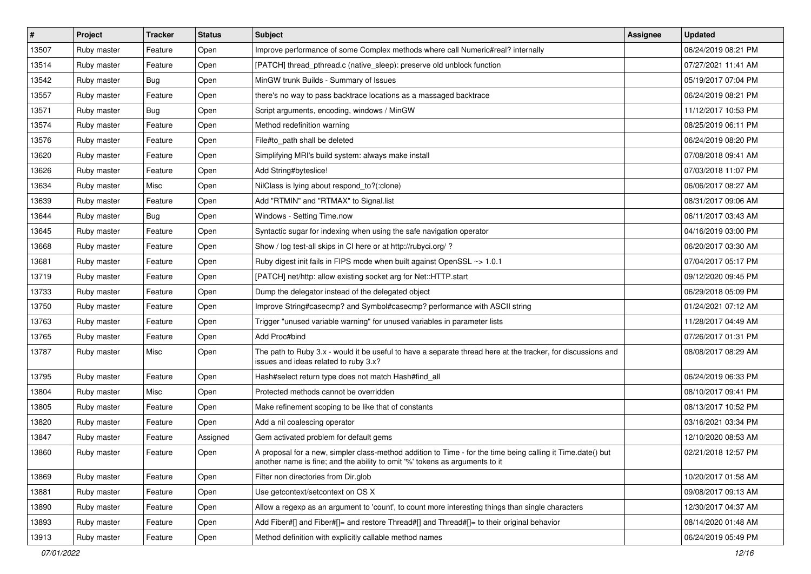| $\sharp$ | Project     | <b>Tracker</b> | <b>Status</b> | <b>Subject</b>                                                                                                                                                                             | <b>Assignee</b> | <b>Updated</b>      |
|----------|-------------|----------------|---------------|--------------------------------------------------------------------------------------------------------------------------------------------------------------------------------------------|-----------------|---------------------|
| 13507    | Ruby master | Feature        | Open          | Improve performance of some Complex methods where call Numeric#real? internally                                                                                                            |                 | 06/24/2019 08:21 PM |
| 13514    | Ruby master | Feature        | Open          | [PATCH] thread_pthread.c (native_sleep): preserve old unblock function                                                                                                                     |                 | 07/27/2021 11:41 AM |
| 13542    | Ruby master | <b>Bug</b>     | Open          | MinGW trunk Builds - Summary of Issues                                                                                                                                                     |                 | 05/19/2017 07:04 PM |
| 13557    | Ruby master | Feature        | Open          | there's no way to pass backtrace locations as a massaged backtrace                                                                                                                         |                 | 06/24/2019 08:21 PM |
| 13571    | Ruby master | Bug            | Open          | Script arguments, encoding, windows / MinGW                                                                                                                                                |                 | 11/12/2017 10:53 PM |
| 13574    | Ruby master | Feature        | Open          | Method redefinition warning                                                                                                                                                                |                 | 08/25/2019 06:11 PM |
| 13576    | Ruby master | Feature        | Open          | File#to path shall be deleted                                                                                                                                                              |                 | 06/24/2019 08:20 PM |
| 13620    | Ruby master | Feature        | Open          | Simplifying MRI's build system: always make install                                                                                                                                        |                 | 07/08/2018 09:41 AM |
| 13626    | Ruby master | Feature        | Open          | Add String#byteslice!                                                                                                                                                                      |                 | 07/03/2018 11:07 PM |
| 13634    | Ruby master | Misc           | Open          | NilClass is lying about respond_to?(:clone)                                                                                                                                                |                 | 06/06/2017 08:27 AM |
| 13639    | Ruby master | Feature        | Open          | Add "RTMIN" and "RTMAX" to Signal.list                                                                                                                                                     |                 | 08/31/2017 09:06 AM |
| 13644    | Ruby master | <b>Bug</b>     | Open          | Windows - Setting Time.now                                                                                                                                                                 |                 | 06/11/2017 03:43 AM |
| 13645    | Ruby master | Feature        | Open          | Syntactic sugar for indexing when using the safe navigation operator                                                                                                                       |                 | 04/16/2019 03:00 PM |
| 13668    | Ruby master | Feature        | Open          | Show / log test-all skips in CI here or at http://rubyci.org/ ?                                                                                                                            |                 | 06/20/2017 03:30 AM |
| 13681    | Ruby master | Feature        | Open          | Ruby digest init fails in FIPS mode when built against OpenSSL ~> 1.0.1                                                                                                                    |                 | 07/04/2017 05:17 PM |
| 13719    | Ruby master | Feature        | Open          | [PATCH] net/http: allow existing socket arg for Net::HTTP.start                                                                                                                            |                 | 09/12/2020 09:45 PM |
| 13733    | Ruby master | Feature        | Open          | Dump the delegator instead of the delegated object                                                                                                                                         |                 | 06/29/2018 05:09 PM |
| 13750    | Ruby master | Feature        | Open          | Improve String#casecmp? and Symbol#casecmp? performance with ASCII string                                                                                                                  |                 | 01/24/2021 07:12 AM |
| 13763    | Ruby master | Feature        | Open          | Trigger "unused variable warning" for unused variables in parameter lists                                                                                                                  |                 | 11/28/2017 04:49 AM |
| 13765    | Ruby master | Feature        | Open          | Add Proc#bind                                                                                                                                                                              |                 | 07/26/2017 01:31 PM |
| 13787    | Ruby master | Misc           | Open          | The path to Ruby 3.x - would it be useful to have a separate thread here at the tracker, for discussions and<br>issues and ideas related to ruby 3.x?                                      |                 | 08/08/2017 08:29 AM |
| 13795    | Ruby master | Feature        | Open          | Hash#select return type does not match Hash#find_all                                                                                                                                       |                 | 06/24/2019 06:33 PM |
| 13804    | Ruby master | Misc           | Open          | Protected methods cannot be overridden                                                                                                                                                     |                 | 08/10/2017 09:41 PM |
| 13805    | Ruby master | Feature        | Open          | Make refinement scoping to be like that of constants                                                                                                                                       |                 | 08/13/2017 10:52 PM |
| 13820    | Ruby master | Feature        | Open          | Add a nil coalescing operator                                                                                                                                                              |                 | 03/16/2021 03:34 PM |
| 13847    | Ruby master | Feature        | Assigned      | Gem activated problem for default gems                                                                                                                                                     |                 | 12/10/2020 08:53 AM |
| 13860    | Ruby master | Feature        | Open          | A proposal for a new, simpler class-method addition to Time - for the time being calling it Time.date() but<br>another name is fine; and the ability to omit '%' tokens as arguments to it |                 | 02/21/2018 12:57 PM |
| 13869    | Ruby master | Feature        | Open          | Filter non directories from Dir.glob                                                                                                                                                       |                 | 10/20/2017 01:58 AM |
| 13881    | Ruby master | Feature        | Open          | Use getcontext/setcontext on OS X                                                                                                                                                          |                 | 09/08/2017 09:13 AM |
| 13890    | Ruby master | Feature        | Open          | Allow a regexp as an argument to 'count', to count more interesting things than single characters                                                                                          |                 | 12/30/2017 04:37 AM |
| 13893    | Ruby master | Feature        | Open          | Add Fiber#[] and Fiber#[]= and restore Thread#[] and Thread#[]= to their original behavior                                                                                                 |                 | 08/14/2020 01:48 AM |
| 13913    | Ruby master | Feature        | Open          | Method definition with explicitly callable method names                                                                                                                                    |                 | 06/24/2019 05:49 PM |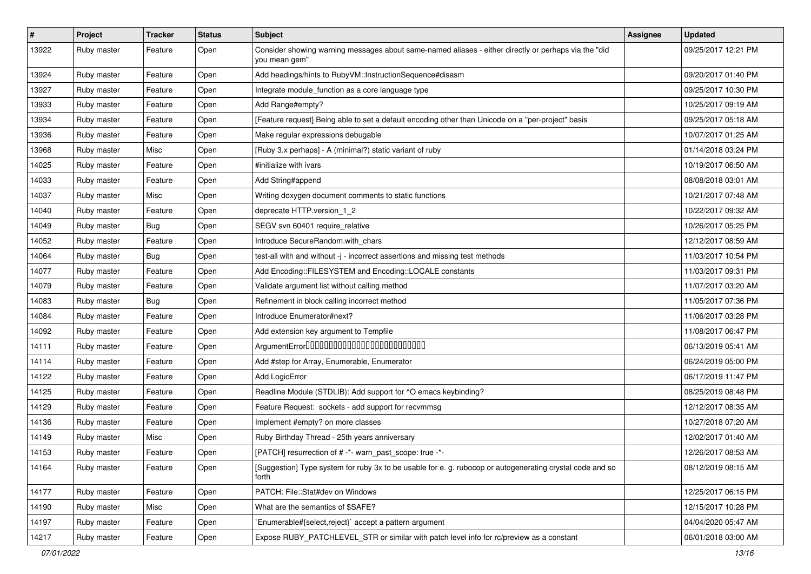| $\vert$ # | Project     | <b>Tracker</b> | <b>Status</b> | <b>Subject</b>                                                                                                        | Assignee | <b>Updated</b>      |
|-----------|-------------|----------------|---------------|-----------------------------------------------------------------------------------------------------------------------|----------|---------------------|
| 13922     | Ruby master | Feature        | Open          | Consider showing warning messages about same-named aliases - either directly or perhaps via the "did<br>you mean gem" |          | 09/25/2017 12:21 PM |
| 13924     | Ruby master | Feature        | Open          | Add headings/hints to RubyVM::InstructionSequence#disasm                                                              |          | 09/20/2017 01:40 PM |
| 13927     | Ruby master | Feature        | Open          | Integrate module_function as a core language type                                                                     |          | 09/25/2017 10:30 PM |
| 13933     | Ruby master | Feature        | Open          | Add Range#empty?                                                                                                      |          | 10/25/2017 09:19 AM |
| 13934     | Ruby master | Feature        | Open          | [Feature request] Being able to set a default encoding other than Unicode on a "per-project" basis                    |          | 09/25/2017 05:18 AM |
| 13936     | Ruby master | Feature        | Open          | Make regular expressions debugable                                                                                    |          | 10/07/2017 01:25 AM |
| 13968     | Ruby master | Misc           | Open          | [Ruby 3.x perhaps] - A (minimal?) static variant of ruby                                                              |          | 01/14/2018 03:24 PM |
| 14025     | Ruby master | Feature        | Open          | #initialize with ivars                                                                                                |          | 10/19/2017 06:50 AM |
| 14033     | Ruby master | Feature        | Open          | Add String#append                                                                                                     |          | 08/08/2018 03:01 AM |
| 14037     | Ruby master | Misc           | Open          | Writing doxygen document comments to static functions                                                                 |          | 10/21/2017 07:48 AM |
| 14040     | Ruby master | Feature        | Open          | deprecate HTTP.version_1_2                                                                                            |          | 10/22/2017 09:32 AM |
| 14049     | Ruby master | <b>Bug</b>     | Open          | SEGV svn 60401 require_relative                                                                                       |          | 10/26/2017 05:25 PM |
| 14052     | Ruby master | Feature        | Open          | Introduce SecureRandom.with_chars                                                                                     |          | 12/12/2017 08:59 AM |
| 14064     | Ruby master | Bug            | Open          | test-all with and without -j - incorrect assertions and missing test methods                                          |          | 11/03/2017 10:54 PM |
| 14077     | Ruby master | Feature        | Open          | Add Encoding::FILESYSTEM and Encoding::LOCALE constants                                                               |          | 11/03/2017 09:31 PM |
| 14079     | Ruby master | Feature        | Open          | Validate argument list without calling method                                                                         |          | 11/07/2017 03:20 AM |
| 14083     | Ruby master | <b>Bug</b>     | Open          | Refinement in block calling incorrect method                                                                          |          | 11/05/2017 07:36 PM |
| 14084     | Ruby master | Feature        | Open          | Introduce Enumerator#next?                                                                                            |          | 11/06/2017 03:28 PM |
| 14092     | Ruby master | Feature        | Open          | Add extension key argument to Tempfile                                                                                |          | 11/08/2017 06:47 PM |
| 14111     | Ruby master | Feature        | Open          | ArgumentError00000000000000000000000000                                                                               |          | 06/13/2019 05:41 AM |
| 14114     | Ruby master | Feature        | Open          | Add #step for Array, Enumerable, Enumerator                                                                           |          | 06/24/2019 05:00 PM |
| 14122     | Ruby master | Feature        | Open          | Add LogicError                                                                                                        |          | 06/17/2019 11:47 PM |
| 14125     | Ruby master | Feature        | Open          | Readline Module (STDLIB): Add support for ^O emacs keybinding?                                                        |          | 08/25/2019 08:48 PM |
| 14129     | Ruby master | Feature        | Open          | Feature Request: sockets - add support for recvmmsg                                                                   |          | 12/12/2017 08:35 AM |
| 14136     | Ruby master | Feature        | Open          | Implement #empty? on more classes                                                                                     |          | 10/27/2018 07:20 AM |
| 14149     | Ruby master | Misc           | Open          | Ruby Birthday Thread - 25th years anniversary                                                                         |          | 12/02/2017 01:40 AM |
| 14153     | Ruby master | Feature        | Open          | [PATCH] resurrection of # -*- warn_past_scope: true -*-                                                               |          | 12/26/2017 08:53 AM |
| 14164     | Ruby master | Feature        | Open          | [Suggestion] Type system for ruby 3x to be usable for e. g. rubocop or autogenerating crystal code and so<br>forth    |          | 08/12/2019 08:15 AM |
| 14177     | Ruby master | Feature        | Open          | PATCH: File::Stat#dev on Windows                                                                                      |          | 12/25/2017 06:15 PM |
| 14190     | Ruby master | Misc           | Open          | What are the semantics of \$SAFE?                                                                                     |          | 12/15/2017 10:28 PM |
| 14197     | Ruby master | Feature        | Open          | Enumerable#{select,reject}` accept a pattern argument                                                                 |          | 04/04/2020 05:47 AM |
| 14217     | Ruby master | Feature        | Open          | Expose RUBY_PATCHLEVEL_STR or similar with patch level info for rc/preview as a constant                              |          | 06/01/2018 03:00 AM |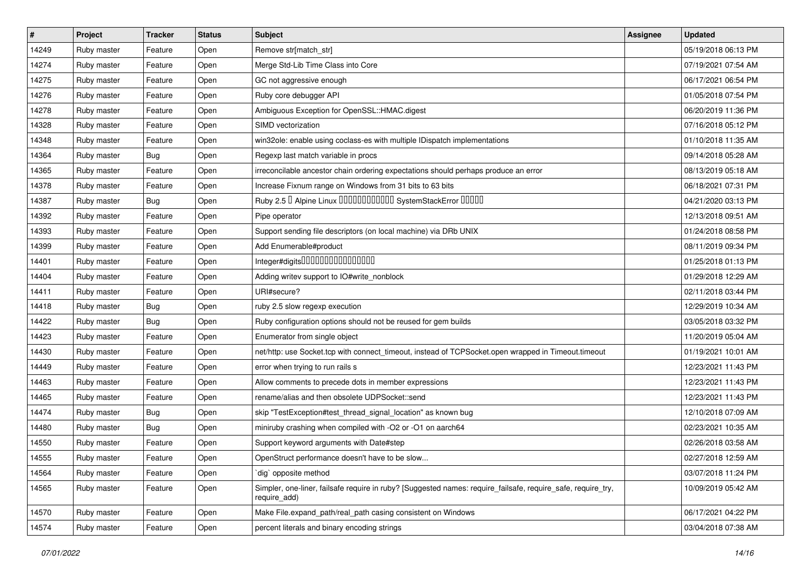| $\sharp$ | Project     | <b>Tracker</b> | <b>Status</b> | <b>Subject</b>                                                                                                               | <b>Assignee</b> | <b>Updated</b>      |
|----------|-------------|----------------|---------------|------------------------------------------------------------------------------------------------------------------------------|-----------------|---------------------|
| 14249    | Ruby master | Feature        | Open          | Remove str[match_str]                                                                                                        |                 | 05/19/2018 06:13 PM |
| 14274    | Ruby master | Feature        | Open          | Merge Std-Lib Time Class into Core                                                                                           |                 | 07/19/2021 07:54 AM |
| 14275    | Ruby master | Feature        | Open          | GC not aggressive enough                                                                                                     |                 | 06/17/2021 06:54 PM |
| 14276    | Ruby master | Feature        | Open          | Ruby core debugger API                                                                                                       |                 | 01/05/2018 07:54 PM |
| 14278    | Ruby master | Feature        | Open          | Ambiguous Exception for OpenSSL::HMAC.digest                                                                                 |                 | 06/20/2019 11:36 PM |
| 14328    | Ruby master | Feature        | Open          | SIMD vectorization                                                                                                           |                 | 07/16/2018 05:12 PM |
| 14348    | Ruby master | Feature        | Open          | win32ole: enable using coclass-es with multiple IDispatch implementations                                                    |                 | 01/10/2018 11:35 AM |
| 14364    | Ruby master | Bug            | Open          | Regexp last match variable in procs                                                                                          |                 | 09/14/2018 05:28 AM |
| 14365    | Ruby master | Feature        | Open          | irreconcilable ancestor chain ordering expectations should perhaps produce an error                                          |                 | 08/13/2019 05:18 AM |
| 14378    | Ruby master | Feature        | Open          | Increase Fixnum range on Windows from 31 bits to 63 bits                                                                     |                 | 06/18/2021 07:31 PM |
| 14387    | Ruby master | <b>Bug</b>     | Open          | Ruby 2.5 <sup>D</sup> Alpine Linux 000000000000 SystemStackError 00000                                                       |                 | 04/21/2020 03:13 PM |
| 14392    | Ruby master | Feature        | Open          | Pipe operator                                                                                                                |                 | 12/13/2018 09:51 AM |
| 14393    | Ruby master | Feature        | Open          | Support sending file descriptors (on local machine) via DRb UNIX                                                             |                 | 01/24/2018 08:58 PM |
| 14399    | Ruby master | Feature        | Open          | Add Enumerable#product                                                                                                       |                 | 08/11/2019 09:34 PM |
| 14401    | Ruby master | Feature        | Open          | Integer#digits0000000000000000                                                                                               |                 | 01/25/2018 01:13 PM |
| 14404    | Ruby master | Feature        | Open          | Adding writev support to IO#write_nonblock                                                                                   |                 | 01/29/2018 12:29 AM |
| 14411    | Ruby master | Feature        | Open          | URI#secure?                                                                                                                  |                 | 02/11/2018 03:44 PM |
| 14418    | Ruby master | <b>Bug</b>     | Open          | ruby 2.5 slow regexp execution                                                                                               |                 | 12/29/2019 10:34 AM |
| 14422    | Ruby master | Bug            | Open          | Ruby configuration options should not be reused for gem builds                                                               |                 | 03/05/2018 03:32 PM |
| 14423    | Ruby master | Feature        | Open          | Enumerator from single object                                                                                                |                 | 11/20/2019 05:04 AM |
| 14430    | Ruby master | Feature        | Open          | net/http: use Socket.tcp with connect_timeout, instead of TCPSocket.open wrapped in Timeout.timeout                          |                 | 01/19/2021 10:01 AM |
| 14449    | Ruby master | Feature        | Open          | error when trying to run rails s                                                                                             |                 | 12/23/2021 11:43 PM |
| 14463    | Ruby master | Feature        | Open          | Allow comments to precede dots in member expressions                                                                         |                 | 12/23/2021 11:43 PM |
| 14465    | Ruby master | Feature        | Open          | rename/alias and then obsolete UDPSocket::send                                                                               |                 | 12/23/2021 11:43 PM |
| 14474    | Ruby master | <b>Bug</b>     | Open          | skip "TestException#test_thread_signal_location" as known bug                                                                |                 | 12/10/2018 07:09 AM |
| 14480    | Ruby master | <b>Bug</b>     | Open          | miniruby crashing when compiled with -O2 or -O1 on aarch64                                                                   |                 | 02/23/2021 10:35 AM |
| 14550    | Ruby master | Feature        | Open          | Support keyword arguments with Date#step                                                                                     |                 | 02/26/2018 03:58 AM |
| 14555    | Ruby master | Feature        | Open          | OpenStruct performance doesn't have to be slow                                                                               |                 | 02/27/2018 12:59 AM |
| 14564    | Ruby master | Feature        | Open          | dig opposite method                                                                                                          |                 | 03/07/2018 11:24 PM |
| 14565    | Ruby master | Feature        | Open          | Simpler, one-liner, failsafe require in ruby? [Suggested names: require_failsafe, require_safe, require_try,<br>require_add) |                 | 10/09/2019 05:42 AM |
| 14570    | Ruby master | Feature        | Open          | Make File.expand_path/real_path casing consistent on Windows                                                                 |                 | 06/17/2021 04:22 PM |
| 14574    | Ruby master | Feature        | Open          | percent literals and binary encoding strings                                                                                 |                 | 03/04/2018 07:38 AM |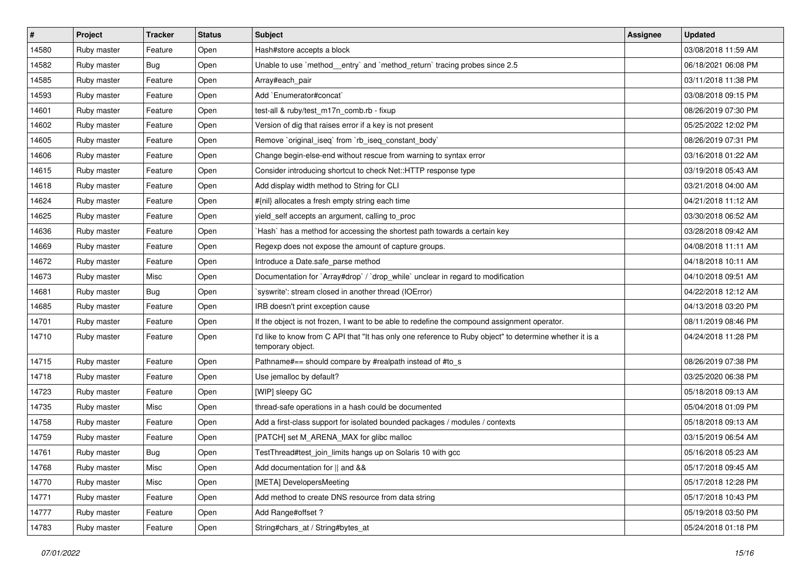| $\vert$ # | Project     | <b>Tracker</b> | <b>Status</b> | <b>Subject</b>                                                                                                                | <b>Assignee</b> | <b>Updated</b>      |
|-----------|-------------|----------------|---------------|-------------------------------------------------------------------------------------------------------------------------------|-----------------|---------------------|
| 14580     | Ruby master | Feature        | Open          | Hash#store accepts a block                                                                                                    |                 | 03/08/2018 11:59 AM |
| 14582     | Ruby master | <b>Bug</b>     | Open          | Unable to use `method_entry` and `method_return` tracing probes since 2.5                                                     |                 | 06/18/2021 06:08 PM |
| 14585     | Ruby master | Feature        | Open          | Array#each_pair                                                                                                               |                 | 03/11/2018 11:38 PM |
| 14593     | Ruby master | Feature        | Open          | Add `Enumerator#concat`                                                                                                       |                 | 03/08/2018 09:15 PM |
| 14601     | Ruby master | Feature        | Open          | test-all & ruby/test_m17n_comb.rb - fixup                                                                                     |                 | 08/26/2019 07:30 PM |
| 14602     | Ruby master | Feature        | Open          | Version of dig that raises error if a key is not present                                                                      |                 | 05/25/2022 12:02 PM |
| 14605     | Ruby master | Feature        | Open          | Remove `original_iseq` from `rb_iseq_constant_body`                                                                           |                 | 08/26/2019 07:31 PM |
| 14606     | Ruby master | Feature        | Open          | Change begin-else-end without rescue from warning to syntax error                                                             |                 | 03/16/2018 01:22 AM |
| 14615     | Ruby master | Feature        | Open          | Consider introducing shortcut to check Net::HTTP response type                                                                |                 | 03/19/2018 05:43 AM |
| 14618     | Ruby master | Feature        | Open          | Add display width method to String for CLI                                                                                    |                 | 03/21/2018 04:00 AM |
| 14624     | Ruby master | Feature        | Open          | #{nil} allocates a fresh empty string each time                                                                               |                 | 04/21/2018 11:12 AM |
| 14625     | Ruby master | Feature        | Open          | yield_self accepts an argument, calling to_proc                                                                               |                 | 03/30/2018 06:52 AM |
| 14636     | Ruby master | Feature        | Open          | `Hash` has a method for accessing the shortest path towards a certain key                                                     |                 | 03/28/2018 09:42 AM |
| 14669     | Ruby master | Feature        | Open          | Regexp does not expose the amount of capture groups.                                                                          |                 | 04/08/2018 11:11 AM |
| 14672     | Ruby master | Feature        | Open          | Introduce a Date.safe_parse method                                                                                            |                 | 04/18/2018 10:11 AM |
| 14673     | Ruby master | Misc           | Open          | Documentation for `Array#drop` / `drop_while` unclear in regard to modification                                               |                 | 04/10/2018 09:51 AM |
| 14681     | Ruby master | Bug            | Open          | `syswrite': stream closed in another thread (IOError)                                                                         |                 | 04/22/2018 12:12 AM |
| 14685     | Ruby master | Feature        | Open          | IRB doesn't print exception cause                                                                                             |                 | 04/13/2018 03:20 PM |
| 14701     | Ruby master | Feature        | Open          | If the object is not frozen, I want to be able to redefine the compound assignment operator.                                  |                 | 08/11/2019 08:46 PM |
| 14710     | Ruby master | Feature        | Open          | I'd like to know from C API that "It has only one reference to Ruby object" to determine whether it is a<br>temporary object. |                 | 04/24/2018 11:28 PM |
| 14715     | Ruby master | Feature        | Open          | Pathname#== should compare by #realpath instead of #to_s                                                                      |                 | 08/26/2019 07:38 PM |
| 14718     | Ruby master | Feature        | Open          | Use jemalloc by default?                                                                                                      |                 | 03/25/2020 06:38 PM |
| 14723     | Ruby master | Feature        | Open          | [WIP] sleepy GC                                                                                                               |                 | 05/18/2018 09:13 AM |
| 14735     | Ruby master | Misc           | Open          | thread-safe operations in a hash could be documented                                                                          |                 | 05/04/2018 01:09 PM |
| 14758     | Ruby master | Feature        | Open          | Add a first-class support for isolated bounded packages / modules / contexts                                                  |                 | 05/18/2018 09:13 AM |
| 14759     | Ruby master | Feature        | Open          | [PATCH] set M_ARENA_MAX for glibc malloc                                                                                      |                 | 03/15/2019 06:54 AM |
| 14761     | Ruby master | <b>Bug</b>     | Open          | TestThread#test_join_limits hangs up on Solaris 10 with gcc                                                                   |                 | 05/16/2018 05:23 AM |
| 14768     | Ruby master | Misc           | Open          | Add documentation for    and &&                                                                                               |                 | 05/17/2018 09:45 AM |
| 14770     | Ruby master | Misc           | Open          | [META] DevelopersMeeting                                                                                                      |                 | 05/17/2018 12:28 PM |
| 14771     | Ruby master | Feature        | Open          | Add method to create DNS resource from data string                                                                            |                 | 05/17/2018 10:43 PM |
| 14777     | Ruby master | Feature        | Open          | Add Range#offset?                                                                                                             |                 | 05/19/2018 03:50 PM |
| 14783     | Ruby master | Feature        | Open          | String#chars_at / String#bytes_at                                                                                             |                 | 05/24/2018 01:18 PM |